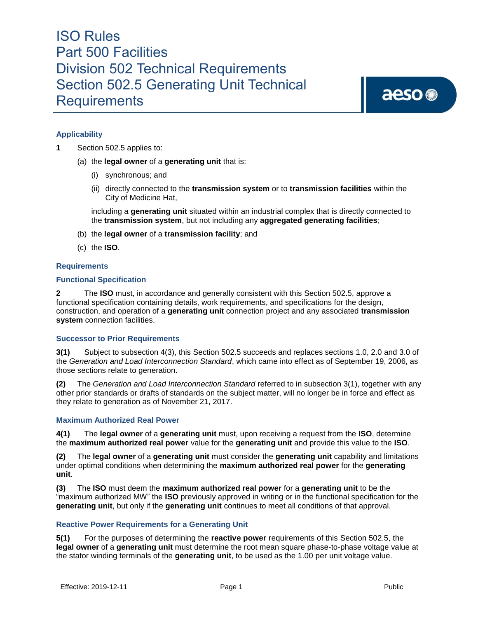aeso<sup>®</sup>

#### **Applicability**

- **1** Section 502.5 applies to:
	- (a) the **legal owner** of a **generating unit** that is:
		- (i) synchronous; and
		- (ii) directly connected to the **transmission system** or to **transmission facilities** within the City of Medicine Hat,

including a **generating unit** situated within an industrial complex that is directly connected to the **transmission system**, but not including any **aggregated generating facilities**;

- (b) the **legal owner** of a **transmission facility**; and
- (c) the **ISO**.

#### **Requirements**

#### **Functional Specification**

**2** The **ISO** must, in accordance and generally consistent with this Section 502.5, approve a functional specification containing details, work requirements, and specifications for the design, construction, and operation of a **generating unit** connection project and any associated **transmission system** connection facilities.

#### **Successor to Prior Requirements**

**3(1)** Subject to subsection 4(3), this Section 502.5 succeeds and replaces sections 1.0, 2.0 and 3.0 of the *Generation and Load Interconnection Standard*, which came into effect as of September 19, 2006, as those sections relate to generation.

**(2)** The *Generation and Load Interconnection Standard* referred to in subsection 3(1), together with any other prior standards or drafts of standards on the subject matter, will no longer be in force and effect as they relate to generation as of November 21, 2017.

#### **Maximum Authorized Real Power**

**4(1)** The **legal owner** of a **generating unit** must, upon receiving a request from the **ISO**, determine the **maximum authorized real power** value for the **generating unit** and provide this value to the **ISO**.

**(2)** The **legal owner** of a **generating unit** must consider the **generating unit** capability and limitations under optimal conditions when determining the **maximum authorized real power** for the **generating unit**.

**(3)** The **ISO** must deem the **maximum authorized real power** for a **generating unit** to be the "maximum authorized MW" the **ISO** previously approved in writing or in the functional specification for the **generating unit**, but only if the **generating unit** continues to meet all conditions of that approval.

#### **Reactive Power Requirements for a Generating Unit**

**5(1)** For the purposes of determining the **reactive power** requirements of this Section 502.5, the **legal owner** of a **generating unit** must determine the root mean square phase-to-phase voltage value at the stator winding terminals of the **generating unit**, to be used as the 1.00 per unit voltage value.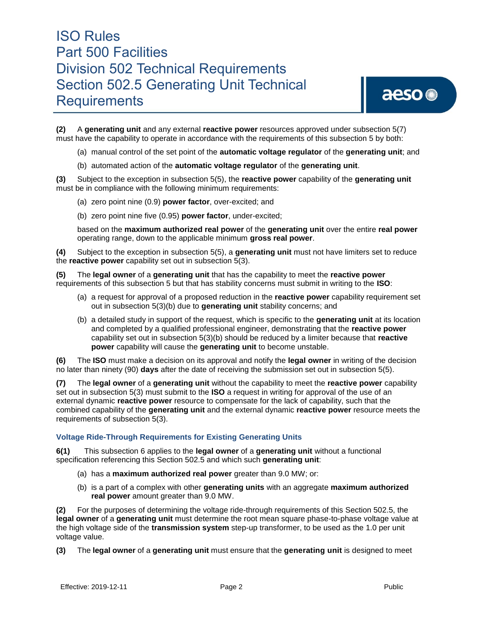**(2)** A **generating unit** and any external **reactive power** resources approved under subsection 5(7) must have the capability to operate in accordance with the requirements of this subsection 5 by both:

- (a) manual control of the set point of the **automatic voltage regulator** of the **generating unit**; and
- (b) automated action of the **automatic voltage regulator** of the **generating unit**.

**(3)** Subject to the exception in subsection 5(5), the **reactive power** capability of the **generating unit**  must be in compliance with the following minimum requirements:

- (a) zero point nine (0.9) **power factor**, over-excited; and
- (b) zero point nine five (0.95) **power factor**, under-excited;

based on the **maximum authorized real power** of the **generating unit** over the entire **real power** operating range, down to the applicable minimum **gross real power**.

**(4)** Subject to the exception in subsection 5(5), a **generating unit** must not have limiters set to reduce the **reactive power** capability set out in subsection 5(3).

**(5)** The **legal owner** of a **generating unit** that has the capability to meet the **reactive power**  requirements of this subsection 5 but that has stability concerns must submit in writing to the **ISO**:

- (a) a request for approval of a proposed reduction in the **reactive power** capability requirement set out in subsection 5(3)(b) due to **generating unit** stability concerns; and
- (b) a detailed study in support of the request, which is specific to the **generating unit** at its location and completed by a qualified professional engineer, demonstrating that the **reactive power**  capability set out in subsection 5(3)(b) should be reduced by a limiter because that **reactive power** capability will cause the **generating unit** to become unstable.

**(6)** The **ISO** must make a decision on its approval and notify the **legal owner** in writing of the decision no later than ninety (90) **days** after the date of receiving the submission set out in subsection 5(5).

**(7)** The **legal owner** of a **generating unit** without the capability to meet the **reactive power** capability set out in subsection 5(3) must submit to the **ISO** a request in writing for approval of the use of an external dynamic **reactive power** resource to compensate for the lack of capability, such that the combined capability of the **generating unit** and the external dynamic **reactive power** resource meets the requirements of subsection 5(3).

#### **Voltage Ride-Through Requirements for Existing Generating Units**

**6(1)** This subsection 6 applies to the **legal owner** of a **generating unit** without a functional specification referencing this Section 502.5 and which such **generating unit**:

- (a) has a **maximum authorized real power** greater than 9.0 MW; or:
- (b) is a part of a complex with other **generating units** with an aggregate **maximum authorized real power** amount greater than 9.0 MW.

**(2)** For the purposes of determining the voltage ride-through requirements of this Section 502.5, the **legal owner** of a **generating unit** must determine the root mean square phase-to-phase voltage value at the high voltage side of the **transmission system** step-up transformer, to be used as the 1.0 per unit voltage value.

**(3)** The **legal owner** of a **generating unit** must ensure that the **generating unit** is designed to meet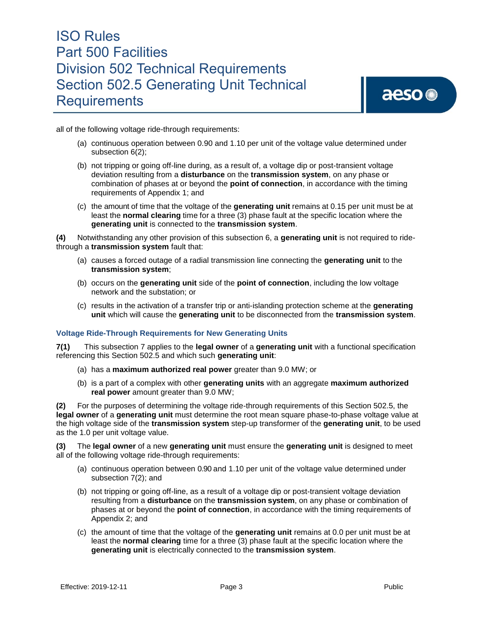all of the following voltage ride-through requirements:

- (a) continuous operation between 0.90 and 1.10 per unit of the voltage value determined under subsection 6(2);
- (b) not tripping or going off-line during, as a result of, a voltage dip or post-transient voltage deviation resulting from a **disturbance** on the **transmission system**, on any phase or combination of phases at or beyond the **point of connection**, in accordance with the timing requirements of Appendix 1; and
- (c) the amount of time that the voltage of the **generating unit** remains at 0.15 per unit must be at least the **normal clearing** time for a three (3) phase fault at the specific location where the **generating unit** is connected to the **transmission system**.

**(4)** Notwithstanding any other provision of this subsection 6, a **generating unit** is not required to ridethrough a **transmission system** fault that:

- (a) causes a forced outage of a radial transmission line connecting the **generating unit** to the **transmission system**;
- (b) occurs on the **generating unit** side of the **point of connection**, including the low voltage network and the substation; or
- (c) results in the activation of a transfer trip or anti-islanding protection scheme at the **generating unit** which will cause the **generating unit** to be disconnected from the **transmission system**.

#### **Voltage Ride-Through Requirements for New Generating Units**

**7(1)** This subsection 7 applies to the **legal owner** of a **generating unit** with a functional specification referencing this Section 502.5 and which such **generating unit**:

- (a) has a **maximum authorized real power** greater than 9.0 MW; or
- (b) is a part of a complex with other **generating units** with an aggregate **maximum authorized real power** amount greater than 9.0 MW;

**(2)** For the purposes of determining the voltage ride-through requirements of this Section 502.5, the **legal owner** of a **generating unit** must determine the root mean square phase-to-phase voltage value at the high voltage side of the **transmission system** step-up transformer of the **generating unit**, to be used as the 1.0 per unit voltage value.

**(3)** The **legal owner** of a new **generating unit** must ensure the **generating unit** is designed to meet all of the following voltage ride-through requirements:

- (a) continuous operation between 0.90 and 1.10 per unit of the voltage value determined under subsection 7(2); and
- (b) not tripping or going off-line, as a result of a voltage dip or post-transient voltage deviation resulting from a **disturbance** on the **transmission system**, on any phase or combination of phases at or beyond the **point of connection**, in accordance with the timing requirements of Appendix 2; and
- (c) the amount of time that the voltage of the **generating unit** remains at 0.0 per unit must be at least the **normal clearing** time for a three (3) phase fault at the specific location where the **generating unit** is electrically connected to the **transmission system**.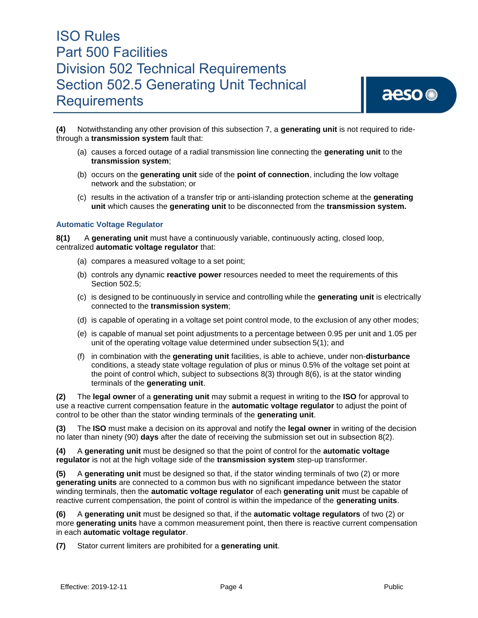

**(4)** Notwithstanding any other provision of this subsection 7, a **generating unit** is not required to ridethrough a **transmission system** fault that:

- (a) causes a forced outage of a radial transmission line connecting the **generating unit** to the **transmission system**;
- (b) occurs on the **generating unit** side of the **point of connection**, including the low voltage network and the substation; or
- (c) results in the activation of a transfer trip or anti-islanding protection scheme at the **generating unit** which causes the **generating unit** to be disconnected from the **transmission system.**

#### **Automatic Voltage Regulator**

**8(1)** A **generating unit** must have a continuously variable, continuously acting, closed loop, centralized **automatic voltage regulator** that:

- (a) compares a measured voltage to a set point;
- (b) controls any dynamic **reactive power** resources needed to meet the requirements of this Section 502.5;
- (c) is designed to be continuously in service and controlling while the **generating unit** is electrically connected to the **transmission system**;
- (d) is capable of operating in a voltage set point control mode, to the exclusion of any other modes;
- (e) is capable of manual set point adjustments to a percentage between 0.95 per unit and 1.05 per unit of the operating voltage value determined under subsection 5(1); and
- (f) in combination with the **generating unit** facilities, is able to achieve, under non-**disturbance**  conditions, a steady state voltage regulation of plus or minus 0.5% of the voltage set point at the point of control which, subject to subsections 8(3) through 8(6), is at the stator winding terminals of the **generating unit**.

**(2)** The **legal owner** of a **generating unit** may submit a request in writing to the **ISO** for approval to use a reactive current compensation feature in the **automatic voltage regulator** to adjust the point of control to be other than the stator winding terminals of the **generating unit**.

**(3)** The **ISO** must make a decision on its approval and notify the **legal owner** in writing of the decision no later than ninety (90) **days** after the date of receiving the submission set out in subsection 8(2).

**(4)** A **generating unit** must be designed so that the point of control for the **automatic voltage regulator** is not at the high voltage side of the **transmission system** step-up transformer.

**(5)** A **generating unit** must be designed so that, if the stator winding terminals of two (2) or more **generating units** are connected to a common bus with no significant impedance between the stator winding terminals, then the **automatic voltage regulator** of each **generating unit** must be capable of reactive current compensation, the point of control is within the impedance of the **generating units**.

**(6)** A **generating unit** must be designed so that, if the **automatic voltage regulators** of two (2) or more **generating units** have a common measurement point, then there is reactive current compensation in each **automatic voltage regulator**.

**(7)** Stator current limiters are prohibited for a **generating unit**.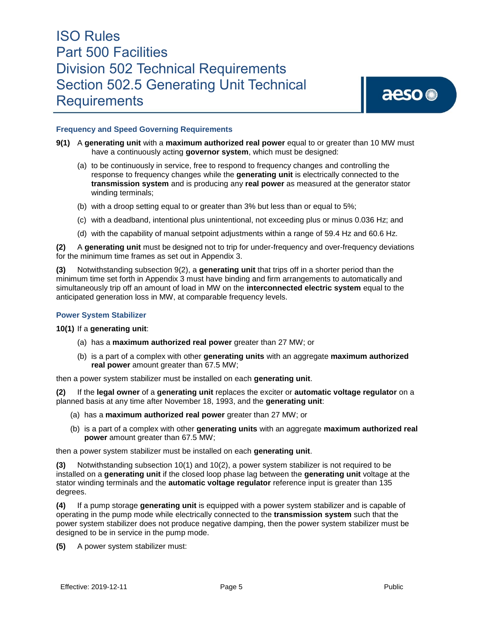aeso<sup>®</sup>

#### **Frequency and Speed Governing Requirements**

- **9(1)** A generating unit with a maximum authorized real power equal to or greater than 10 MW must have a continuously acting **governor system**, which must be designed:
	- (a) to be continuously in service, free to respond to frequency changes and controlling the response to frequency changes while the **generating unit** is electrically connected to the **transmission system** and is producing any **real power** as measured at the generator stator winding terminals;
	- (b) with a droop setting equal to or greater than 3% but less than or equal to 5%;
	- (c) with a deadband, intentional plus unintentional, not exceeding plus or minus 0.036 Hz; and
	- (d) with the capability of manual setpoint adjustments within a range of 59.4 Hz and 60.6 Hz.

**(2)** A **generating unit** must be designed not to trip for under-frequency and over-frequency deviations for the minimum time frames as set out in Appendix 3.

**(3)** Notwithstanding subsection 9(2), a **generating unit** that trips off in a shorter period than the minimum time set forth in Appendix 3 must have binding and firm arrangements to automatically and simultaneously trip off an amount of load in MW on the **interconnected electric system** equal to the anticipated generation loss in MW, at comparable frequency levels.

#### **Power System Stabilizer**

**10(1)** If a **generating unit**:

- (a) has a **maximum authorized real power** greater than 27 MW; or
- (b) is a part of a complex with other **generating units** with an aggregate **maximum authorized real power** amount greater than 67.5 MW;

then a power system stabilizer must be installed on each **generating unit**.

**(2)** If the **legal owner** of a **generating unit** replaces the exciter or **automatic voltage regulator** on a planned basis at any time after November 18, 1993, and the **generating unit**:

- (a) has a **maximum authorized real power** greater than 27 MW; or
- (b) is a part of a complex with other **generating units** with an aggregate **maximum authorized real power** amount greater than 67.5 MW;

then a power system stabilizer must be installed on each **generating unit**.

**(3)** Notwithstanding subsection 10(1) and 10(2), a power system stabilizer is not required to be installed on a **generating unit** if the closed loop phase lag between the **generating unit** voltage at the stator winding terminals and the **automatic voltage regulator** reference input is greater than 135 degrees.

**(4)** If a pump storage **generating unit** is equipped with a power system stabilizer and is capable of operating in the pump mode while electrically connected to the **transmission system** such that the power system stabilizer does not produce negative damping, then the power system stabilizer must be designed to be in service in the pump mode.

**(5)** A power system stabilizer must: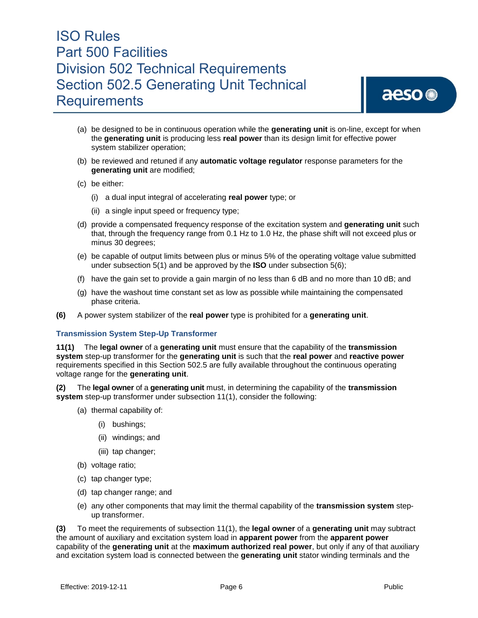

- (a) be designed to be in continuous operation while the **generating unit** is on-line, except for when the **generating unit** is producing less **real power** than its design limit for effective power system stabilizer operation;
- (b) be reviewed and retuned if any **automatic voltage regulator** response parameters for the **generating unit** are modified;
- (c) be either:
	- (i) a dual input integral of accelerating **real power** type; or
	- (ii) a single input speed or frequency type;
- (d) provide a compensated frequency response of the excitation system and **generating unit** such that, through the frequency range from 0.1 Hz to 1.0 Hz, the phase shift will not exceed plus or minus 30 degrees;
- (e) be capable of output limits between plus or minus 5% of the operating voltage value submitted under subsection 5(1) and be approved by the **ISO** under subsection 5(6);
- (f) have the gain set to provide a gain margin of no less than 6 dB and no more than 10 dB; and
- (g) have the washout time constant set as low as possible while maintaining the compensated phase criteria.
- **(6)** A power system stabilizer of the **real power** type is prohibited for a **generating unit**.

#### **Transmission System Step-Up Transformer**

**11(1)** The **legal owner** of a **generating unit** must ensure that the capability of the **transmission system** step-up transformer for the **generating unit** is such that the **real power** and **reactive power** requirements specified in this Section 502.5 are fully available throughout the continuous operating voltage range for the **generating unit**.

**(2)** The **legal owner** of a **generating unit** must, in determining the capability of the **transmission system** step-up transformer under subsection 11(1), consider the following:

- (a) thermal capability of:
	- (i) bushings;
	- (ii) windings; and
	- (iii) tap changer;
- (b) voltage ratio;
- (c) tap changer type;
- (d) tap changer range; and
- (e) any other components that may limit the thermal capability of the **transmission system** stepup transformer.

**(3)** To meet the requirements of subsection 11(1), the **legal owner** of a **generating unit** may subtract the amount of auxiliary and excitation system load in **apparent power** from the **apparent power**  capability of the **generating unit** at the **maximum authorized real power**, but only if any of that auxiliary and excitation system load is connected between the **generating unit** stator winding terminals and the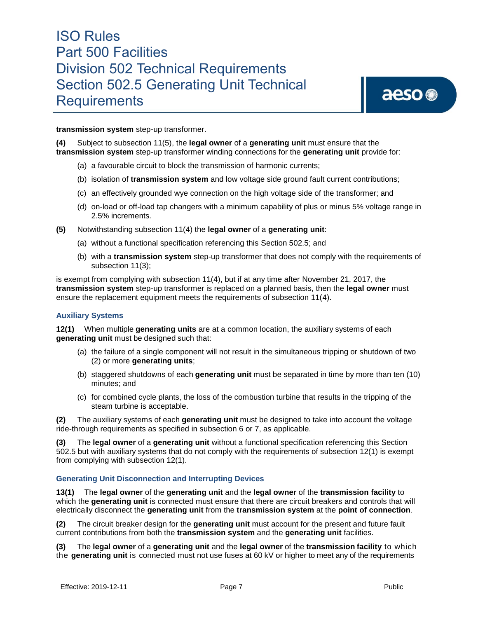**transmission system** step-up transformer.

**(4)** Subject to subsection 11(5), the **legal owner** of a **generating unit** must ensure that the **transmission system** step-up transformer winding connections for the **generating unit** provide for:

- (a) a favourable circuit to block the transmission of harmonic currents;
- (b) isolation of **transmission system** and low voltage side ground fault current contributions;
- (c) an effectively grounded wye connection on the high voltage side of the transformer; and
- (d) on-load or off-load tap changers with a minimum capability of plus or minus 5% voltage range in 2.5% increments*.*
- **(5)** Notwithstanding subsection 11(4) the **legal owner** of a **generating unit**:
	- (a) without a functional specification referencing this Section 502.5; and
	- (b) with a **transmission system** step-up transformer that does not comply with the requirements of subsection 11(3);

is exempt from complying with subsection 11(4), but if at any time after November 21, 2017, the **transmission system** step-up transformer is replaced on a planned basis, then the **legal owner** must ensure the replacement equipment meets the requirements of subsection 11(4).

#### **Auxiliary Systems**

**12(1)** When multiple **generating units** are at a common location, the auxiliary systems of each **generating unit** must be designed such that:

- (a) the failure of a single component will not result in the simultaneous tripping or shutdown of two (2) or more **generating units**;
- (b) staggered shutdowns of each **generating unit** must be separated in time by more than ten (10) minutes; and
- (c) for combined cycle plants, the loss of the combustion turbine that results in the tripping of the steam turbine is acceptable.

**(2)** The auxiliary systems of each **generating unit** must be designed to take into account the voltage ride-through requirements as specified in subsection 6 or 7, as applicable.

**(3)** The **legal owner** of a **generating unit** without a functional specification referencing this Section 502.5 but with auxiliary systems that do not comply with the requirements of subsection 12(1) is exempt from complying with subsection 12(1).

#### **Generating Unit Disconnection and Interrupting Devices**

**13(1)** The **legal owner** of the **generating unit** and the **legal owner** of the **transmission facility** to which the **generating unit** is connected must ensure that there are circuit breakers and controls that will electrically disconnect the **generating unit** from the **transmission system** at the **point of connection**.

**(2)** The circuit breaker design for the **generating unit** must account for the present and future fault current contributions from both the **transmission system** and the **generating unit** facilities.

**(3)** The **legal owner** of a **generating unit** and the **legal owner** of the **transmission facility** to which the **generating unit** is connected must not use fuses at 60 kV or higher to meet any of the requirements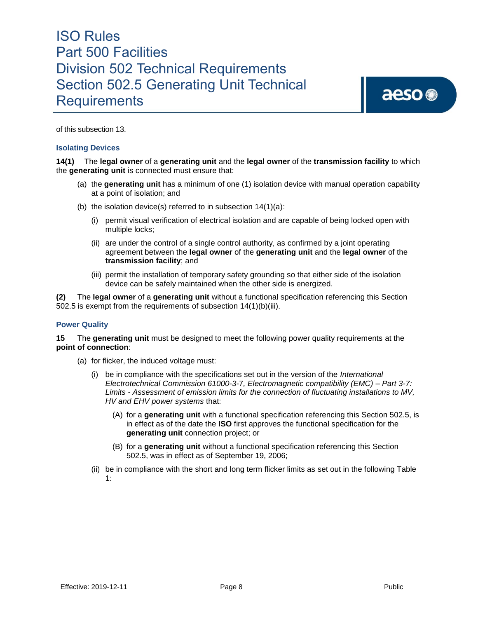of this subsection 13.

#### **Isolating Devices**

**14(1)** The **legal owner** of a **generating unit** and the **legal owner** of the **transmission facility** to which the **generating unit** is connected must ensure that:

- (a) the **generating unit** has a minimum of one (1) isolation device with manual operation capability at a point of isolation; and
- (b) the isolation device(s) referred to in subsection  $14(1)(a)$ :
	- (i) permit visual verification of electrical isolation and are capable of being locked open with multiple locks;
	- (ii) are under the control of a single control authority, as confirmed by a joint operating agreement between the **legal owner** of the **generating unit** and the **legal owner** of the **transmission facility**; and
	- (iii) permit the installation of temporary safety grounding so that either side of the isolation device can be safely maintained when the other side is energized.

**(2)** The **legal owner** of a **generating unit** without a functional specification referencing this Section 502.5 is exempt from the requirements of subsection 14(1)(b)(iii).

#### **Power Quality**

**15** The **generating unit** must be designed to meet the following power quality requirements at the **point of connection**:

- (a) for flicker, the induced voltage must:
	- (i) be in compliance with the specifications set out in the version of the *International Electrotechnical Commission 61000-3-*7*, Electromagnetic compatibility (EMC) – Part 3-7: Limits - Assessment of emission limits for the connection of fluctuating installations to MV, HV and EHV power systems* that:
		- (A) for a **generating unit** with a functional specification referencing this Section 502.5, is in effect as of the date the **ISO** first approves the functional specification for the **generating unit** connection project; or
		- (B) for a **generating unit** without a functional specification referencing this Section 502.5, was in effect as of September 19, 2006;
	- (ii) be in compliance with the short and long term flicker limits as set out in the following Table 1: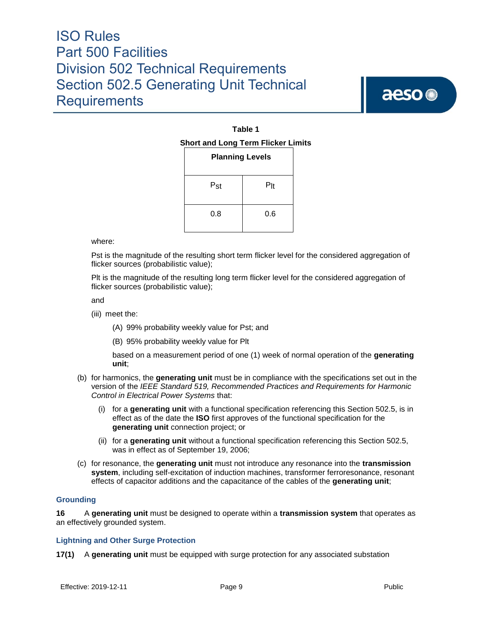aeso<sup>®</sup>

#### **Table 1 Short and Long Term Flicker Limits**

| שווט בטוואַ<br><b>Planning Levels</b> |        |  |
|---------------------------------------|--------|--|
| Pst                                   | $P$ lt |  |
| 0.8                                   | 0.6    |  |

where:

Pst is the magnitude of the resulting short term flicker level for the considered aggregation of flicker sources (probabilistic value);

Plt is the magnitude of the resulting long term flicker level for the considered aggregation of flicker sources (probabilistic value);

and

- (iii) meet the:
	- (A) 99% probability weekly value for Pst; and
	- (B) 95% probability weekly value for Plt

based on a measurement period of one (1) week of normal operation of the **generating unit**;

- (b) for harmonics, the **generating unit** must be in compliance with the specifications set out in the version of the *IEEE Standard 519, Recommended Practices and Requirements for Harmonic Control in Electrical Power Systems* that:
	- (i) for a **generating unit** with a functional specification referencing this Section 502.5, is in effect as of the date the **ISO** first approves of the functional specification for the **generating unit** connection project; or
	- (ii) for a **generating unit** without a functional specification referencing this Section 502.5, was in effect as of September 19, 2006;
- (c) for resonance, the **generating unit** must not introduce any resonance into the **transmission system**, including self-excitation of induction machines, transformer ferroresonance, resonant effects of capacitor additions and the capacitance of the cables of the **generating unit**;

#### **Grounding**

**16** A **generating unit** must be designed to operate within a **transmission system** that operates as an effectively grounded system.

#### **Lightning and Other Surge Protection**

**17(1)** A **generating unit** must be equipped with surge protection for any associated substation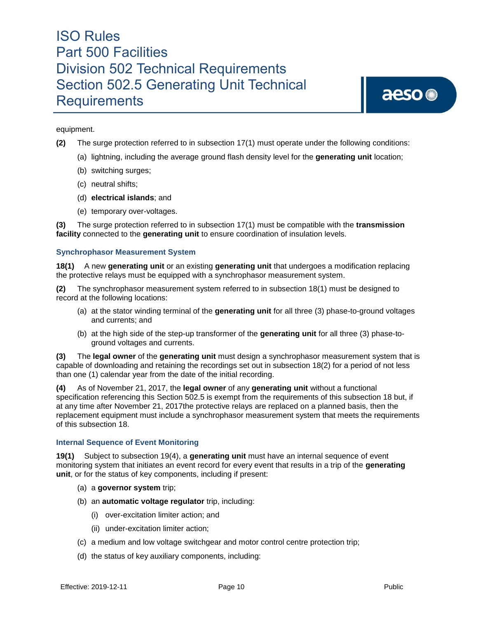equipment.

- **(2)** The surge protection referred to in subsection 17(1) must operate under the following conditions:
	- (a) lightning, including the average ground flash density level for the **generating unit** location;
	- (b) switching surges;
	- (c) neutral shifts;
	- (d) **electrical islands**; and
	- (e) temporary over-voltages.

**(3)** The surge protection referred to in subsection 17(1) must be compatible with the **transmission facility** connected to the **generating unit** to ensure coordination of insulation levels.

#### **Synchrophasor Measurement System**

**18(1)** A new **generating unit** or an existing **generating unit** that undergoes a modification replacing the protective relays must be equipped with a synchrophasor measurement system.

**(2)** The synchrophasor measurement system referred to in subsection 18(1) must be designed to record at the following locations:

- (a) at the stator winding terminal of the **generating unit** for all three (3) phase-to-ground voltages and currents; and
- (b) at the high side of the step-up transformer of the **generating unit** for all three (3) phase-toground voltages and currents.

**(3)** The **legal owner** of the **generating unit** must design a synchrophasor measurement system that is capable of downloading and retaining the recordings set out in subsection 18(2) for a period of not less than one (1) calendar year from the date of the initial recording.

**(4)** As of November 21, 2017, the **legal owner** of any **generating unit** without a functional specification referencing this Section 502.5 is exempt from the requirements of this subsection 18 but, if at any time after November 21, 2017the protective relays are replaced on a planned basis, then the replacement equipment must include a synchrophasor measurement system that meets the requirements of this subsection 18.

#### **Internal Sequence of Event Monitoring**

**19(1)** Subject to subsection 19(4), a **generating unit** must have an internal sequence of event monitoring system that initiates an event record for every event that results in a trip of the **generating unit**, or for the status of key components, including if present:

- (a) a **governor system** trip;
- (b) an **automatic voltage regulator** trip, including:
	- (i) over-excitation limiter action; and
	- (ii) under-excitation limiter action;
- (c) a medium and low voltage switchgear and motor control centre protection trip;
- (d) the status of key auxiliary components, including: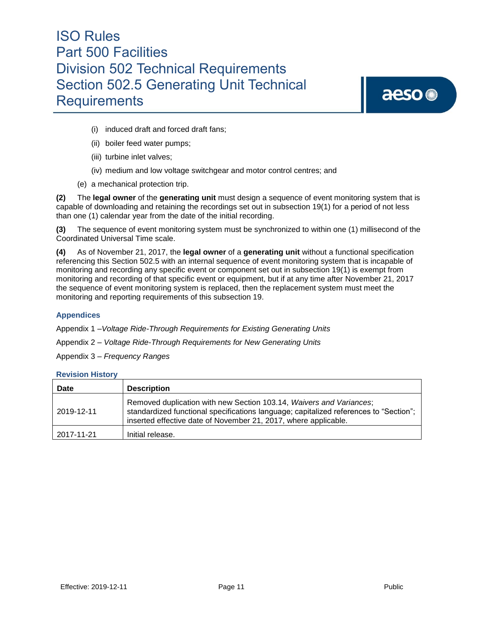# aeso<sup>®</sup>

- (i) induced draft and forced draft fans;
- (ii) boiler feed water pumps;
- (iii) turbine inlet valves;
- (iv) medium and low voltage switchgear and motor control centres; and
- (e) a mechanical protection trip.

**(2)** The **legal owner** of the **generating unit** must design a sequence of event monitoring system that is capable of downloading and retaining the recordings set out in subsection 19(1) for a period of not less than one (1) calendar year from the date of the initial recording.

**(3)** The sequence of event monitoring system must be synchronized to within one (1) millisecond of the Coordinated Universal Time scale.

**(4)** As of November 21, 2017, the **legal owner** of a **generating unit** without a functional specification referencing this Section 502.5 with an internal sequence of event monitoring system that is incapable of monitoring and recording any specific event or component set out in subsection 19(1) is exempt from monitoring and recording of that specific event or equipment, but if at any time after November 21, 2017 the sequence of event monitoring system is replaced, then the replacement system must meet the monitoring and reporting requirements of this subsection 19.

#### **Appendices**

Appendix 1 –*Voltage Ride-Through Requirements for Existing Generating Units*

Appendix 2 – *Voltage Ride-Through Requirements for New Generating Units*

Appendix 3 – *Frequency Ranges*

#### **Revision History**

| <b>Date</b> | <b>Description</b>                                                                                                                                                                                                              |
|-------------|---------------------------------------------------------------------------------------------------------------------------------------------------------------------------------------------------------------------------------|
| 2019-12-11  | Removed duplication with new Section 103.14, Waivers and Variances;<br>standardized functional specifications language; capitalized references to "Section";<br>inserted effective date of November 21, 2017, where applicable. |
| 2017-11-21  | Initial release.                                                                                                                                                                                                                |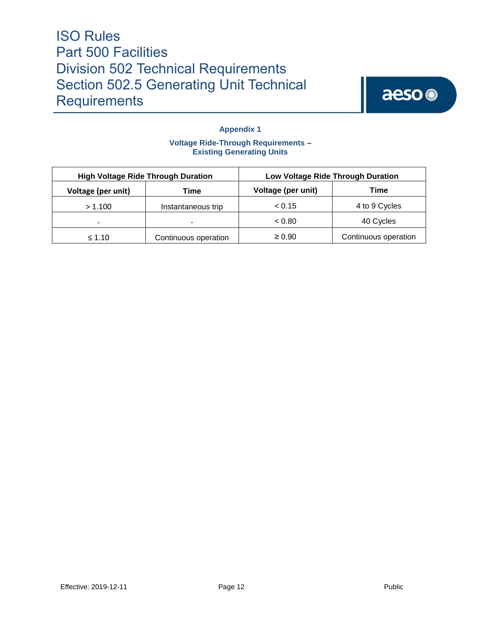

### **Appendix 1**

#### **Voltage Ride-Through Requirements – Existing Generating Units**

| <b>High Voltage Ride Through Duration</b> |                      | Low Voltage Ride Through Duration |                      |
|-------------------------------------------|----------------------|-----------------------------------|----------------------|
| Voltage (per unit)                        | Гіmе                 | Voltage (per unit)                | Time                 |
| > 1.100                                   | Instantaneous trip   | < 0.15                            | 4 to 9 Cycles        |
| $\overline{\phantom{0}}$                  |                      | < 0.80                            | 40 Cycles            |
| $\leq 1.10$                               | Continuous operation | $\geq 0.90$                       | Continuous operation |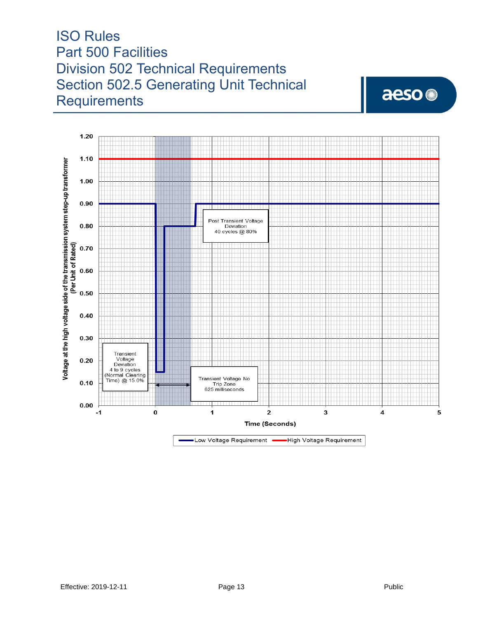$1.20$  $1.10$  $1.00$  $0.90$ Post Transient Voltage  $\bf 0.80$ Deviation<br>40 cycles @ 80% (Per Unit of Rated)  $0.70$  $\bf 0.60$  $0.50$  $\bf 0.40$  $0.30$ Transient Voltage  $0.20$ Vollage<br>Deviation<br>4 to 9 cycles<br>Normal Clearing<br>Time) @ 15.0% Transient Voltage No<br>Trip Zone<br>625 milliseconds  $0.10$  $0.00$ -1  $\pmb{0}$ 1  $\overline{\mathbf{2}}$ 3 4 5 Time (Seconds)

> High Voltage Requirement •Low Voltage Requirement

Voltage at the high voltage side of the transmission system step-up transformer

aeso<sup>®</sup>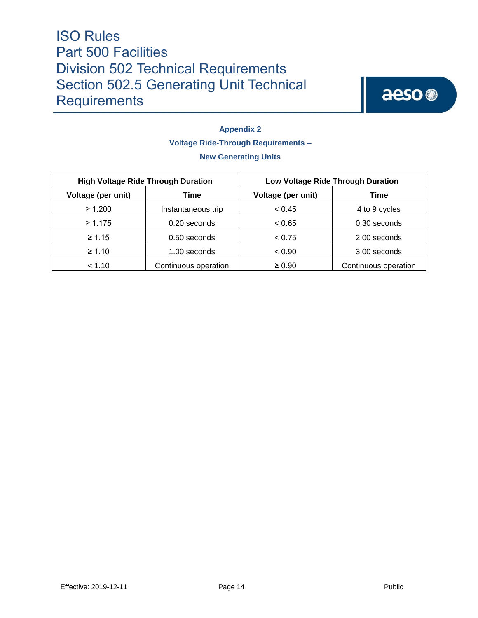

### **Appendix 2 Voltage Ride-Through Requirements – New Generating Units**

| <b>High Voltage Ride Through Duration</b> |                      | Low Voltage Ride Through Duration |                      |
|-------------------------------------------|----------------------|-----------------------------------|----------------------|
| Voltage (per unit)                        | Time                 | Voltage (per unit)                | Time                 |
| $\geq 1.200$                              | Instantaneous trip   | < 0.45                            | 4 to 9 cycles        |
| $\geq 1.175$                              | 0.20 seconds         | < 0.65                            | 0.30 seconds         |
| $\geq 1.15$                               | 0.50 seconds         | < 0.75                            | 2.00 seconds         |
| $\geq 1.10$                               | 1.00 seconds         | < 0.90                            | 3.00 seconds         |
| < 1.10                                    | Continuous operation | $\geq 0.90$                       | Continuous operation |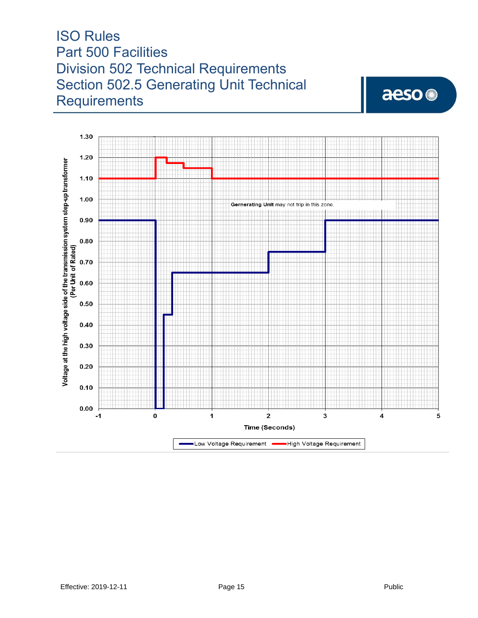### 1.30  $1.20$ Voltage at the high voltage side of the transmission system step-up transformer  $1.10$  $1.00$ Gernerating Unit may not trip in this zone.  $\begin{picture}(180,10) \put(0,0){\line(1,0){10}} \put(10,0){\line(1,0){10}} \put(10,0){\line(1,0){10}} \put(10,0){\line(1,0){10}} \put(10,0){\line(1,0){10}} \put(10,0){\line(1,0){10}} \put(10,0){\line(1,0){10}} \put(10,0){\line(1,0){10}} \put(10,0){\line(1,0){10}} \put(10,0){\line(1,0){10}} \put(10,0){\line(1,0){10}} \put(10,0){\line($  $0.90$  $0.80$ (Per Unit of Rated)<br>0.70<br>0.60  $\bf 0.50$  $\bf 0.40$  $0.30$  $0.20$  $0.10$  $\bf 0.00$ 0  $\mathbf 2$ 3 -1 1 4 5 Time (Seconds) High Voltage Requirement Low Voltage Requirement

aeso<sup>®</sup>